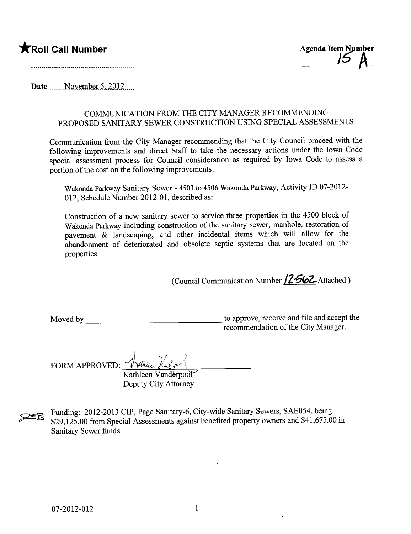



Date  $\sim$  November 5, 2012....

## COMMUNICATION FROM THE CITY MANAGER RECOMMENDING PROPOSED SANITARY SEWER CONSTRUCTION USING SPECIAL ASSESSMENTS

Communication from the City Manager recommending that the City Council proceed with the following improvements and direct Staff to take the necessary actions under the Iowa Code special assessment process for Council consideration as required by Iowa Code to assess a portion of the cost on the following improvements:

Wakonda Parkway Sanitary Sewer - 4503 to 4506 Wakonda Parkway, Activity ID 07-2012-012, Schedule Number 2012-01, described as:

Construction of a new sanitary sewer to service three properties in the 4500 block of Wakonda Parkway including construction of the sanitary sewer, manhole, restoration of pavement  $\&$  landscaping, and other incidental items which will allow for the abandonment of deteriorated and obsolete septic systems that are located on the properties.

(Council Communication Number  $/2$  562 Attached.)

Moved by to approve, receive and file and accept the recommendation of the City Manager.

) FORM APPROVED:  $\check{\mathscr{N}}$ Kathleen Vanderpool

Deputy City Attorney

Examples Funding: 2012-2013 CIP, Page Sanitary-6, City-wide Sanitary Sewers, SAE054, being<br>\$29,125.00 from Special Assessments against benefited property owners and \$41,675.00<br>Sanitary Sewer funds \$29,125.00 from Special Assessments against benefited property owners and \$41,675.00 in Sanitary Sewer funds